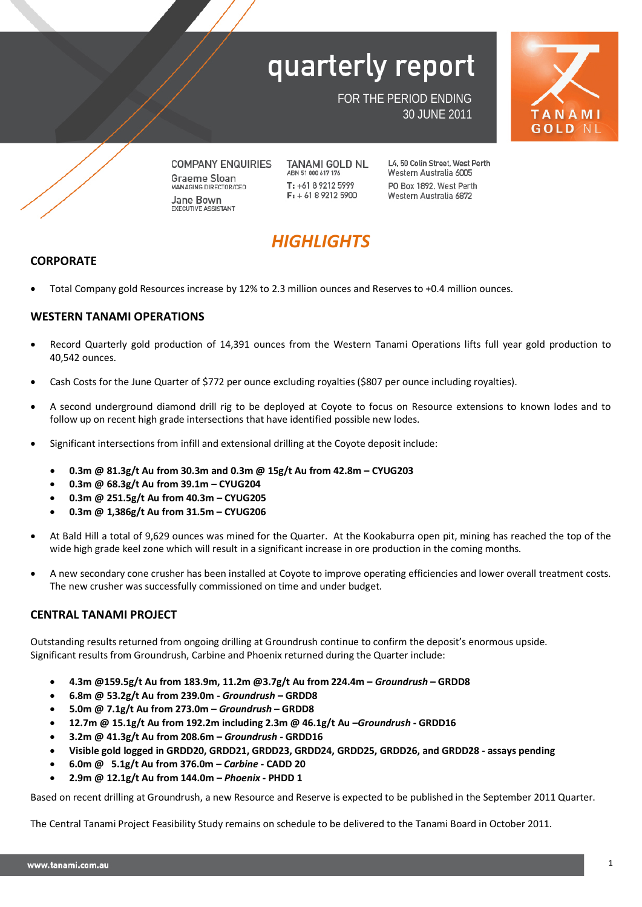

FOR THE PERIOD ENDING 30 JUNE 2011



**COMPANY ENQUIRIES Graeme Sloan MANAGING DIRECTOR/CEO** Jane Bown EXECUTIVE ASSISTANT

**TANAMI GOLD NL** ABN 51 000 617 176 T: +61 8 9212 5999  $F: +61892125900$ 

L4. 50 Colin Street. West Perth Western Australia 6005 PO Box 1892, West Perth Western Australia 6872

## *HIGHLIGHTS*

## **CORPORATE**

• Total Company gold Resources increase by 12% to 2.3 million ounces and Reserves to +0.4 million ounces.

## **WESTERN TANAMI OPERATIONS**

- Record Quarterly gold production of 14,391 ounces from the Western Tanami Operations lifts full year gold production to 40,542 ounces.
- Cash Costs for the June Quarter of \$772 per ounce excluding royalties (\$807 per ounce including royalties).
- A second underground diamond drill rig to be deployed at Coyote to focus on Resource extensions to known lodes and to follow up on recent high grade intersections that have identified possible new lodes.
- Significant intersections from infill and extensional drilling at the Coyote deposit include:
	- **0.3m @ 81.3g/t Au from 30.3m and 0.3m @ 15g/t Au from 42.8m – CYUG203**
	- **0.3m @ 68.3g/t Au from 39.1m – CYUG204**
	- **0.3m @ 251.5g/t Au from 40.3m – CYUG205**
	- **0.3m @ 1,386g/t Au from 31.5m – CYUG206**
- At Bald Hill a total of 9,629 ounces was mined for the Quarter. At the Kookaburra open pit, mining has reached the top of the wide high grade keel zone which will result in a significant increase in ore production in the coming months.
- A new secondary cone crusher has been installed at Coyote to improve operating efficiencies and lower overall treatment costs. The new crusher was successfully commissioned on time and under budget.

## **CENTRAL TANAMI PROJECT**

Outstanding results returned from ongoing drilling at Groundrush continue to confirm the deposit's enormous upside. Significant results from Groundrush, Carbine and Phoenix returned during the Quarter include:

- **4.3m @159.5g/t Au from 183.9m, 11.2m @3.7g/t Au from 224.4m –** *Groundrush* **– GRDD8**
- **6.8m @ 53.2g/t Au from 239.0m -** *Groundrush* **– GRDD8**
- **5.0m @ 7.1g/t Au from 273.0m –** *Groundrush* **– GRDD8**
- **12.7m @ 15.1g/t Au from 192.2m including 2.3m @ 46.1g/t Au –***Groundrush* **- GRDD16**
- **3.2m @ 41.3g/t Au from 208.6m –** *Groundrush* **- GRDD16**
- **Visible gold logged in GRDD20, GRDD21, GRDD23, GRDD24, GRDD25, GRDD26, and GRDD28 - assays pending**
- **6.0m @ 5.1g/t Au from 376.0m –** *Carbine* **- CADD 20**
- **2.9m @ 12.1g/t Au from 144.0m –** *Phoenix* **- PHDD 1**

Based on recent drilling at Groundrush, a new Resource and Reserve is expected to be published in the September 2011 Quarter.

The Central Tanami Project Feasibility Study remains on schedule to be delivered to the Tanami Board in October 2011.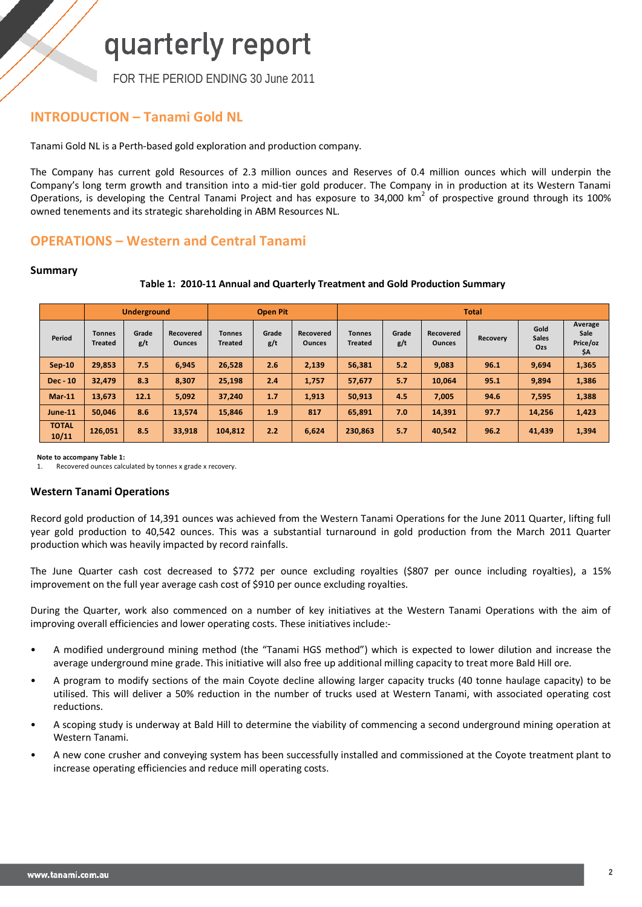FOR THE PERIOD ENDING 30 June 2011

## **INTRODUCTION – Tanami Gold NL**

Tanami Gold NL is a Perth-based gold exploration and production company.

The Company has current gold Resources of 2.3 million ounces and Reserves of 0.4 million ounces which will underpin the Company's long term growth and transition into a mid-tier gold producer. The Company in in production at its Western Tanami Operations, is developing the Central Tanami Project and has exposure to 34,000 km<sup>2</sup> of prospective ground through its 100% owned tenements and its strategic shareholding in ABM Resources NL.

## **OPERATIONS – Western and Central Tanami**

## **Summary**

## **Table 1: 2010-11 Annual and Quarterly Treatment and Gold Production Summary**

|                       |                                 | <b>Underground</b> |                            |                                 | <b>Open Pit</b> |                            |                                 |              |                            | <b>Total</b> |                             |                                    |  |
|-----------------------|---------------------------------|--------------------|----------------------------|---------------------------------|-----------------|----------------------------|---------------------------------|--------------|----------------------------|--------------|-----------------------------|------------------------------------|--|
| Period                | <b>Tonnes</b><br><b>Treated</b> | Grade<br>g/t       | Recovered<br><b>Ounces</b> | <b>Tonnes</b><br><b>Treated</b> | Grade<br>g/t    | Recovered<br><b>Ounces</b> | <b>Tonnes</b><br><b>Treated</b> | Grade<br>g/t | Recovered<br><b>Ounces</b> | Recovery     | Gold<br><b>Sales</b><br>Ozs | Average<br>Sale<br>Price/oz<br>\$A |  |
| $Sep-10$              | 29.853                          | 7.5                | 6.945                      | 26.528                          | 2.6             | 2.139                      | 56.381                          | 5.2          | 9,083                      | 96.1         | 9.694                       | 1,365                              |  |
| <b>Dec</b> - 10       | 32.479                          | 8.3                | 8.307                      | 25,198                          | 2.4             | 1,757                      | 57,677                          | 5.7          | 10,064                     | 95.1         | 9,894                       | 1,386                              |  |
| <b>Mar-11</b>         | 13.673                          | 12.1               | 5.092                      | 37.240                          | 1.7             | 1.913                      | 50,913                          | 4.5          | 7.005                      | 94.6         | 7,595                       | 1,388                              |  |
| June-11               | 50.046                          | 8.6                | 13,574                     | 15,846                          | 1.9             | 817                        | 65.891                          | 7.0          | 14,391                     | 97.7         | 14,256                      | 1,423                              |  |
| <b>TOTAL</b><br>10/11 | 126,051                         | 8.5                | 33,918                     | 104,812                         | 2.2             | 6.624                      | 230.863                         | 5.7          | 40,542                     | 96.2         | 41,439                      | 1,394                              |  |

**Note to accompany Table 1:** 

1. Recovered ounces calculated by tonnes x grade x recovery.

## **Western Tanami Operations**

Record gold production of 14,391 ounces was achieved from the Western Tanami Operations for the June 2011 Quarter, lifting full year gold production to 40,542 ounces. This was a substantial turnaround in gold production from the March 2011 Quarter production which was heavily impacted by record rainfalls.

The June Quarter cash cost decreased to \$772 per ounce excluding royalties (\$807 per ounce including royalties), a 15% improvement on the full year average cash cost of \$910 per ounce excluding royalties.

During the Quarter, work also commenced on a number of key initiatives at the Western Tanami Operations with the aim of improving overall efficiencies and lower operating costs. These initiatives include:-

- A modified underground mining method (the "Tanami HGS method") which is expected to lower dilution and increase the average underground mine grade. This initiative will also free up additional milling capacity to treat more Bald Hill ore.
- A program to modify sections of the main Coyote decline allowing larger capacity trucks (40 tonne haulage capacity) to be utilised. This will deliver a 50% reduction in the number of trucks used at Western Tanami, with associated operating cost reductions.
- A scoping study is underway at Bald Hill to determine the viability of commencing a second underground mining operation at Western Tanami.
- A new cone crusher and conveying system has been successfully installed and commissioned at the Coyote treatment plant to increase operating efficiencies and reduce mill operating costs.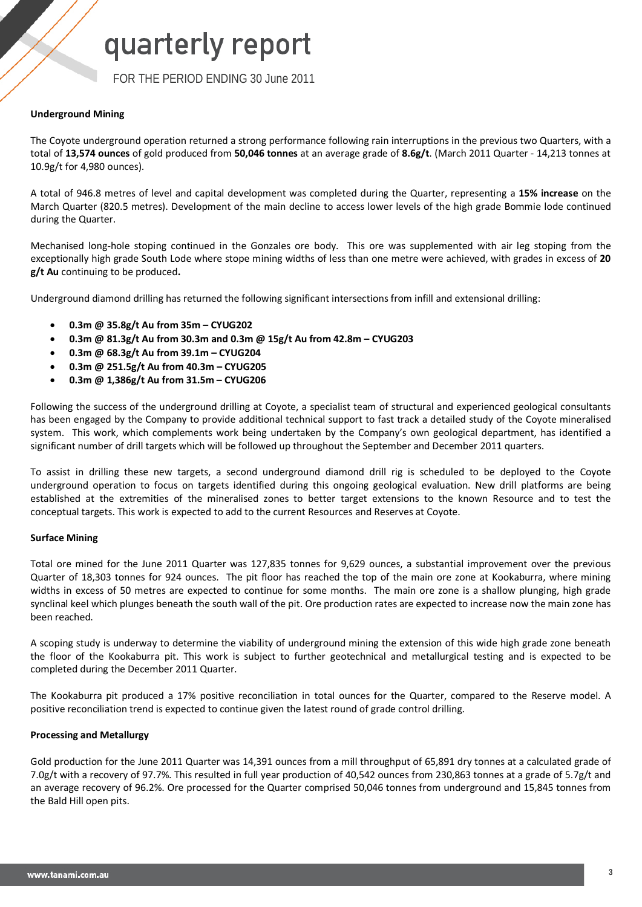FOR THE PERIOD ENDING 30 June 2011

## **Underground Mining**

The Coyote underground operation returned a strong performance following rain interruptions in the previous two Quarters, with a total of **13,574 ounces** of gold produced from **50,046 tonnes** at an average grade of **8.6g/t**. (March 2011 Quarter - 14,213 tonnes at 10.9g/t for 4,980 ounces).

A total of 946.8 metres of level and capital development was completed during the Quarter, representing a **15% increase** on the March Quarter (820.5 metres). Development of the main decline to access lower levels of the high grade Bommie lode continued during the Quarter.

Mechanised long-hole stoping continued in the Gonzales ore body. This ore was supplemented with air leg stoping from the exceptionally high grade South Lode where stope mining widths of less than one metre were achieved, with grades in excess of **20 g/t Au** continuing to be produced**.**

Underground diamond drilling has returned the following significant intersections from infill and extensional drilling:

- **0.3m @ 35.8g/t Au from 35m – CYUG202**
- **0.3m @ 81.3g/t Au from 30.3m and 0.3m @ 15g/t Au from 42.8m – CYUG203**
- **0.3m @ 68.3g/t Au from 39.1m – CYUG204**
- **0.3m @ 251.5g/t Au from 40.3m – CYUG205**
- **0.3m @ 1,386g/t Au from 31.5m – CYUG206**

Following the success of the underground drilling at Coyote, a specialist team of structural and experienced geological consultants has been engaged by the Company to provide additional technical support to fast track a detailed study of the Coyote mineralised system. This work, which complements work being undertaken by the Company's own geological department, has identified a significant number of drill targets which will be followed up throughout the September and December 2011 quarters.

To assist in drilling these new targets, a second underground diamond drill rig is scheduled to be deployed to the Coyote underground operation to focus on targets identified during this ongoing geological evaluation. New drill platforms are being established at the extremities of the mineralised zones to better target extensions to the known Resource and to test the conceptual targets. This work is expected to add to the current Resources and Reserves at Coyote.

### **Surface Mining**

Total ore mined for the June 2011 Quarter was 127,835 tonnes for 9,629 ounces, a substantial improvement over the previous Quarter of 18,303 tonnes for 924 ounces. The pit floor has reached the top of the main ore zone at Kookaburra, where mining widths in excess of 50 metres are expected to continue for some months. The main ore zone is a shallow plunging, high grade synclinal keel which plunges beneath the south wall of the pit. Ore production rates are expected to increase now the main zone has been reached.

A scoping study is underway to determine the viability of underground mining the extension of this wide high grade zone beneath the floor of the Kookaburra pit. This work is subject to further geotechnical and metallurgical testing and is expected to be completed during the December 2011 Quarter.

The Kookaburra pit produced a 17% positive reconciliation in total ounces for the Quarter, compared to the Reserve model. A positive reconciliation trend is expected to continue given the latest round of grade control drilling.

## **Processing and Metallurgy**

Gold production for the June 2011 Quarter was 14,391 ounces from a mill throughput of 65,891 dry tonnes at a calculated grade of 7.0g/t with a recovery of 97.7%. This resulted in full year production of 40,542 ounces from 230,863 tonnes at a grade of 5.7g/t and an average recovery of 96.2%. Ore processed for the Quarter comprised 50,046 tonnes from underground and 15,845 tonnes from the Bald Hill open pits.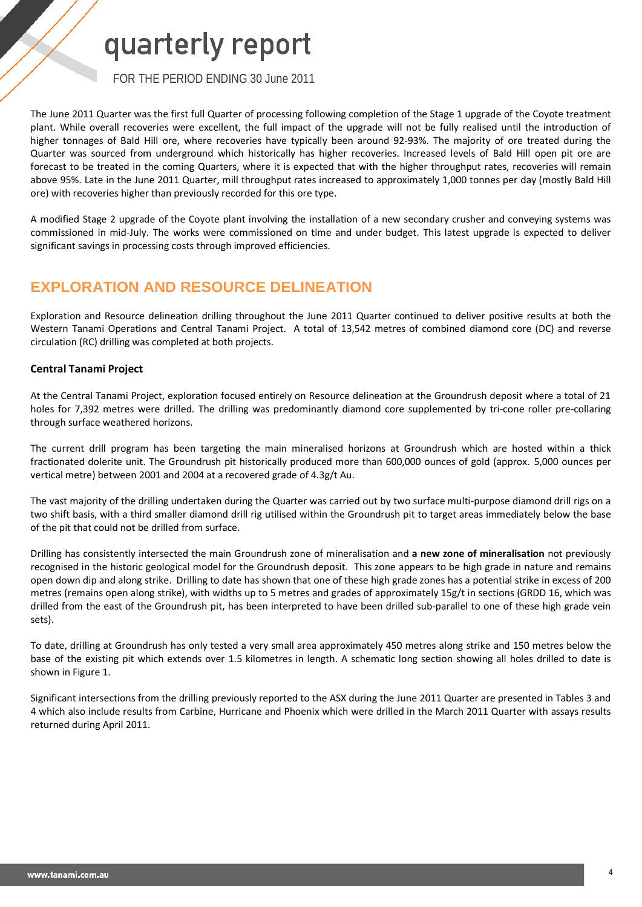FOR THE PERIOD ENDING 30 June 2011

The June 2011 Quarter was the first full Quarter of processing following completion of the Stage 1 upgrade of the Coyote treatment plant. While overall recoveries were excellent, the full impact of the upgrade will not be fully realised until the introduction of higher tonnages of Bald Hill ore, where recoveries have typically been around 92-93%. The majority of ore treated during the Quarter was sourced from underground which historically has higher recoveries. Increased levels of Bald Hill open pit ore are forecast to be treated in the coming Quarters, where it is expected that with the higher throughput rates, recoveries will remain above 95%. Late in the June 2011 Quarter, mill throughput rates increased to approximately 1,000 tonnes per day (mostly Bald Hill ore) with recoveries higher than previously recorded for this ore type.

A modified Stage 2 upgrade of the Coyote plant involving the installation of a new secondary crusher and conveying systems was commissioned in mid-July. The works were commissioned on time and under budget. This latest upgrade is expected to deliver significant savings in processing costs through improved efficiencies.

## **EXPLORATION AND RESOURCE DELINEATION**

Exploration and Resource delineation drilling throughout the June 2011 Quarter continued to deliver positive results at both the Western Tanami Operations and Central Tanami Project. A total of 13,542 metres of combined diamond core (DC) and reverse circulation (RC) drilling was completed at both projects.

## **Central Tanami Project**

At the Central Tanami Project, exploration focused entirely on Resource delineation at the Groundrush deposit where a total of 21 holes for 7,392 metres were drilled. The drilling was predominantly diamond core supplemented by tri-cone roller pre-collaring through surface weathered horizons.

The current drill program has been targeting the main mineralised horizons at Groundrush which are hosted within a thick fractionated dolerite unit. The Groundrush pit historically produced more than 600,000 ounces of gold (approx. 5,000 ounces per vertical metre) between 2001 and 2004 at a recovered grade of 4.3g/t Au.

The vast majority of the drilling undertaken during the Quarter was carried out by two surface multi-purpose diamond drill rigs on a two shift basis, with a third smaller diamond drill rig utilised within the Groundrush pit to target areas immediately below the base of the pit that could not be drilled from surface.

Drilling has consistently intersected the main Groundrush zone of mineralisation and **a new zone of mineralisation** not previously recognised in the historic geological model for the Groundrush deposit. This zone appears to be high grade in nature and remains open down dip and along strike. Drilling to date has shown that one of these high grade zones has a potential strike in excess of 200 metres (remains open along strike), with widths up to 5 metres and grades of approximately 15g/t in sections (GRDD 16, which was drilled from the east of the Groundrush pit, has been interpreted to have been drilled sub-parallel to one of these high grade vein sets).

To date, drilling at Groundrush has only tested a very small area approximately 450 metres along strike and 150 metres below the base of the existing pit which extends over 1.5 kilometres in length. A schematic long section showing all holes drilled to date is shown in Figure 1.

Significant intersections from the drilling previously reported to the ASX during the June 2011 Quarter are presented in Tables 3 and 4 which also include results from Carbine, Hurricane and Phoenix which were drilled in the March 2011 Quarter with assays results returned during April 2011.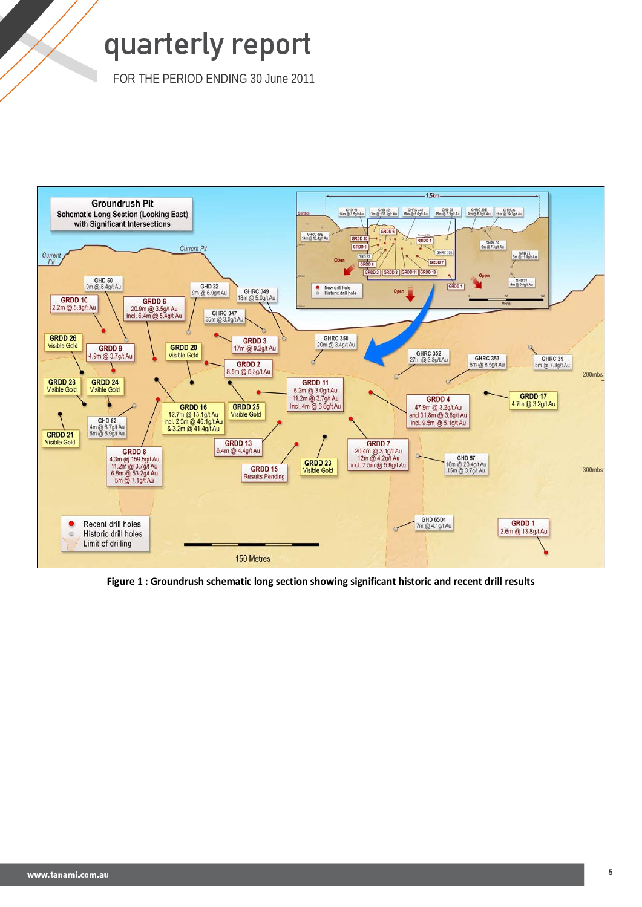FOR THE PERIOD ENDING 30 June 2011



**Figure 1 : Groundrush schematic long section showing significant historic and recent drill results**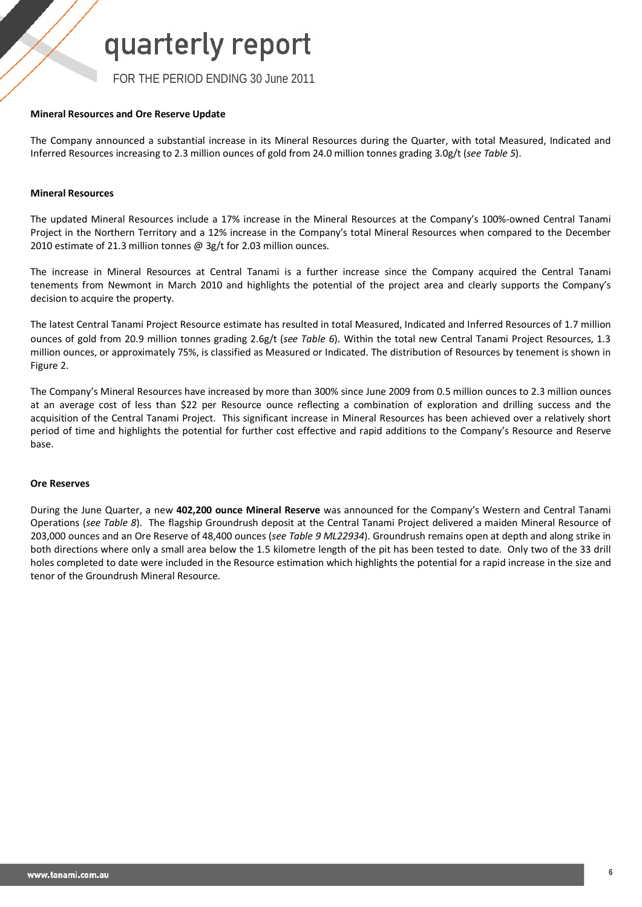FOR THE PERIOD ENDING 30 June 2011

## **Mineral Resources and Ore Reserve Update**

The Company announced a substantial increase in its Mineral Resources during the Quarter, with total Measured, Indicated and Inferred Resources increasing to 2.3 million ounces of gold from 24.0 million tonnes grading 3.0g/t (*see Table 5*).

## **Mineral Resources**

The updated Mineral Resources include a 17% increase in the Mineral Resources at the Company's 100%-owned Central Tanami Project in the Northern Territory and a 12% increase in the Company's total Mineral Resources when compared to the December 2010 estimate of 21.3 million tonnes @ 3g/t for 2.03 million ounces.

The increase in Mineral Resources at Central Tanami is a further increase since the Company acquired the Central Tanami tenements from Newmont in March 2010 and highlights the potential of the project area and clearly supports the Company's decision to acquire the property.

The latest Central Tanami Project Resource estimate has resulted in total Measured, Indicated and Inferred Resources of 1.7 million ounces of gold from 20.9 million tonnes grading 2.6g/t (*see Table 6*). Within the total new Central Tanami Project Resources, 1.3 million ounces, or approximately 75%, is classified as Measured or Indicated. The distribution of Resources by tenement is shown in Figure 2.

The Company's Mineral Resources have increased by more than 300% since June 2009 from 0.5 million ounces to 2.3 million ounces at an average cost of less than \$22 per Resource ounce reflecting a combination of exploration and drilling success and the acquisition of the Central Tanami Project. This significant increase in Mineral Resources has been achieved over a relatively short period of time and highlights the potential for further cost effective and rapid additions to the Company's Resource and Reserve base.

### **Ore Reserves**

During the June Quarter, a new **402,200 ounce Mineral Reserve** was announced for the Company's Western and Central Tanami Operations (*see Table 8*). The flagship Groundrush deposit at the Central Tanami Project delivered a maiden Mineral Resource of 203,000 ounces and an Ore Reserve of 48,400 ounces (*see Table 9 ML22934*). Groundrush remains open at depth and along strike in both directions where only a small area below the 1.5 kilometre length of the pit has been tested to date. Only two of the 33 drill holes completed to date were included in the Resource estimation which highlights the potential for a rapid increase in the size and tenor of the Groundrush Mineral Resource.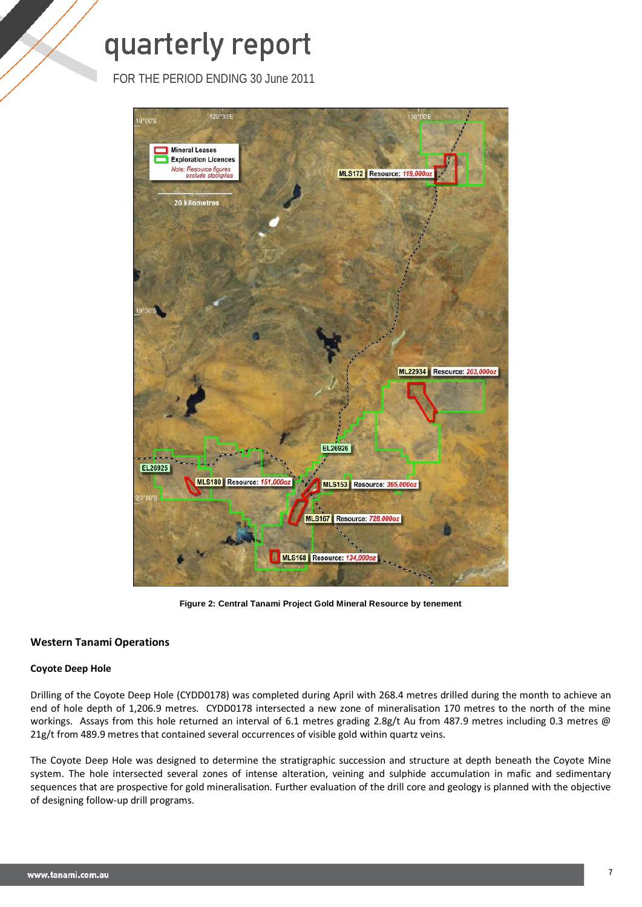FOR THE PERIOD ENDING 30 June 2011



**Figure 2: Central Tanami Project Gold Mineral Resource by tenement**

## **Western Tanami Operations**

## **Coyote Deep Hole**

Drilling of the Coyote Deep Hole (CYDD0178) was completed during April with 268.4 metres drilled during the month to achieve an end of hole depth of 1,206.9 metres. CYDD0178 intersected a new zone of mineralisation 170 metres to the north of the mine workings. Assays from this hole returned an interval of 6.1 metres grading 2.8g/t Au from 487.9 metres including 0.3 metres @ 21g/t from 489.9 metres that contained several occurrences of visible gold within quartz veins.

The Coyote Deep Hole was designed to determine the stratigraphic succession and structure at depth beneath the Coyote Mine system. The hole intersected several zones of intense alteration, veining and sulphide accumulation in mafic and sedimentary sequences that are prospective for gold mineralisation. Further evaluation of the drill core and geology is planned with the objective of designing follow-up drill programs.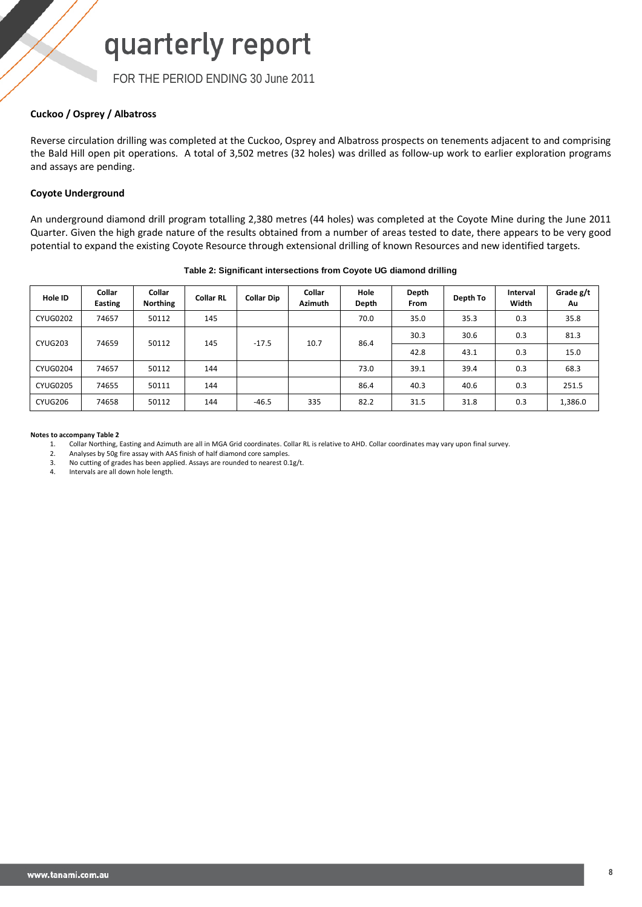FOR THE PERIOD ENDING 30 June 2011

## **Cuckoo / Osprey / Albatross**

Reverse circulation drilling was completed at the Cuckoo, Osprey and Albatross prospects on tenements adjacent to and comprising the Bald Hill open pit operations. A total of 3,502 metres (32 holes) was drilled as follow-up work to earlier exploration programs and assays are pending.

## **Coyote Underground**

An underground diamond drill program totalling 2,380 metres (44 holes) was completed at the Coyote Mine during the June 2011 Quarter. Given the high grade nature of the results obtained from a number of areas tested to date, there appears to be very good potential to expand the existing Coyote Resource through extensional drilling of known Resources and new identified targets.

| Hole ID         | Collar<br>Easting | Collar<br><b>Northing</b> | <b>Collar RL</b> | <b>Collar Dip</b> | Collar<br><b>Azimuth</b> | Hole<br>Depth | Depth<br>From | Depth To | Interval<br>Width | Grade g/t<br>Au |
|-----------------|-------------------|---------------------------|------------------|-------------------|--------------------------|---------------|---------------|----------|-------------------|-----------------|
| <b>CYUG0202</b> | 74657             | 50112                     | 145              |                   |                          | 70.0          | 35.0          | 35.3     | 0.3               | 35.8            |
| CYUG203         | 74659             | 50112                     | 145              | $-17.5$           | 10.7                     | 86.4          | 30.3          | 30.6     | 0.3               | 81.3            |
|                 |                   |                           |                  |                   |                          |               | 42.8          | 43.1     | 0.3               | 15.0            |
| <b>CYUG0204</b> | 74657             | 50112                     | 144              |                   |                          | 73.0          | 39.1          | 39.4     | 0.3               | 68.3            |
| <b>CYUG0205</b> | 74655             | 50111                     | 144              |                   |                          | 86.4          | 40.3          | 40.6     | 0.3               | 251.5           |
| CYUG206         | 74658             | 50112                     | 144              | $-46.5$           | 335                      | 82.2          | 31.5          | 31.8     | 0.3               | 1,386.0         |

### **Table 2: Significant intersections from Coyote UG diamond drilling**

### **Notes to accompany Table 2**

1. Collar Northing, Easting and Azimuth are all in MGA Grid coordinates. Collar RL is relative to AHD. Collar coordinates may vary upon final survey.

Analyses by 50g fire assay with AAS finish of half diamond core samples.

3. No cutting of grades has been applied. Assays are rounded to nearest  $0.1g/t$ .<br>4 Intervals are all down hole length

4. Intervals are all down hole length.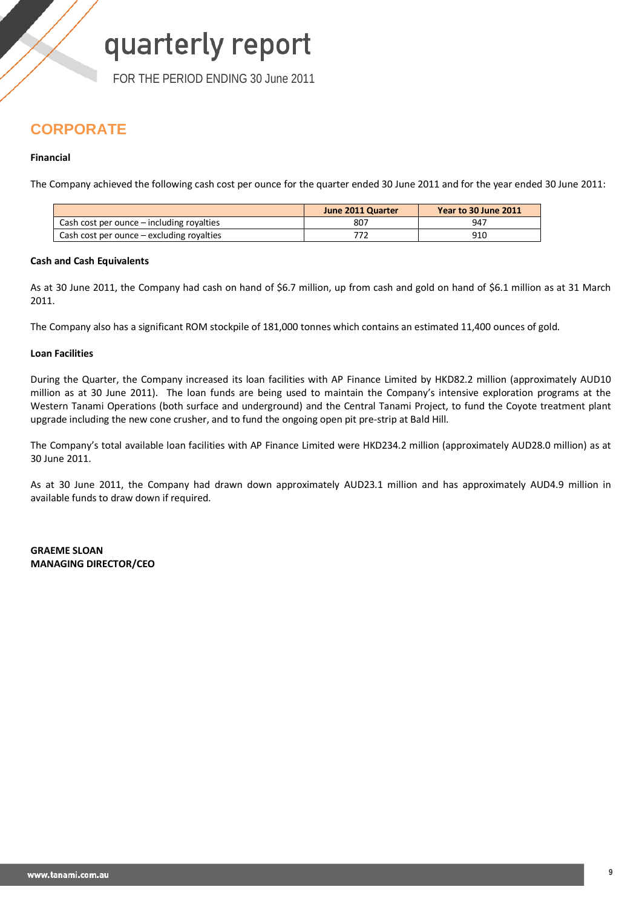FOR THE PERIOD ENDING 30 June 2011

## **CORPORATE**

## **Financial**

The Company achieved the following cash cost per ounce for the quarter ended 30 June 2011 and for the year ended 30 June 2011:

|                                           | June 2011 Quarter | Year to 30 June 2011 |
|-------------------------------------------|-------------------|----------------------|
| Cash cost per ounce – including royalties | 807               | 947                  |
| Cash cost per ounce – excluding royalties |                   | 910                  |

## **Cash and Cash Equivalents**

As at 30 June 2011, the Company had cash on hand of \$6.7 million, up from cash and gold on hand of \$6.1 million as at 31 March 2011.

The Company also has a significant ROM stockpile of 181,000 tonnes which contains an estimated 11,400 ounces of gold.

## **Loan Facilities**

During the Quarter, the Company increased its loan facilities with AP Finance Limited by HKD82.2 million (approximately AUD10 million as at 30 June 2011). The loan funds are being used to maintain the Company's intensive exploration programs at the Western Tanami Operations (both surface and underground) and the Central Tanami Project, to fund the Coyote treatment plant upgrade including the new cone crusher, and to fund the ongoing open pit pre-strip at Bald Hill.

The Company's total available loan facilities with AP Finance Limited were HKD234.2 million (approximately AUD28.0 million) as at 30 June 2011.

As at 30 June 2011, the Company had drawn down approximately AUD23.1 million and has approximately AUD4.9 million in available funds to draw down if required.

**GRAEME SLOAN MANAGING DIRECTOR/CEO**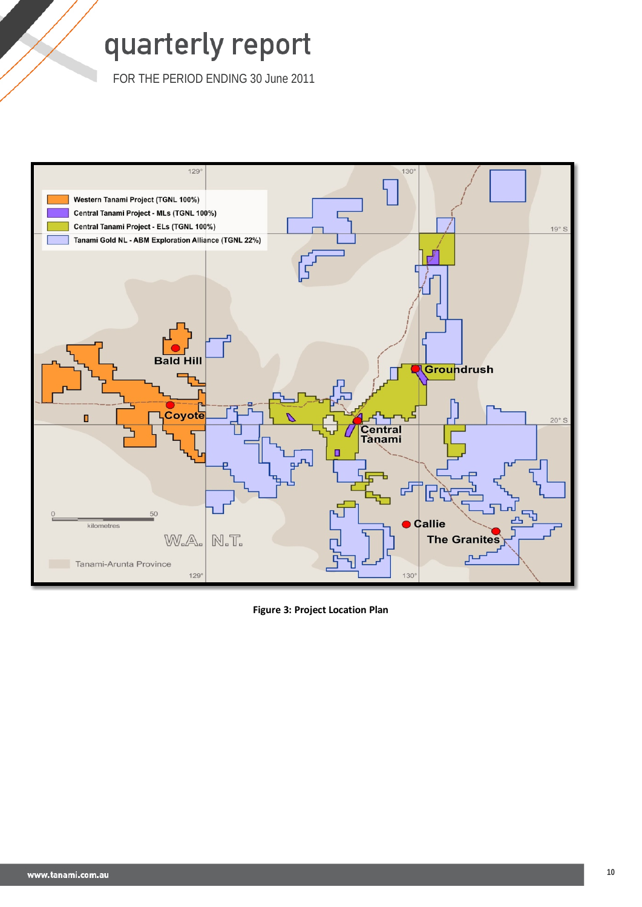FOR THE PERIOD ENDING 30 June 2011



**Figure 3: Project Location Plan**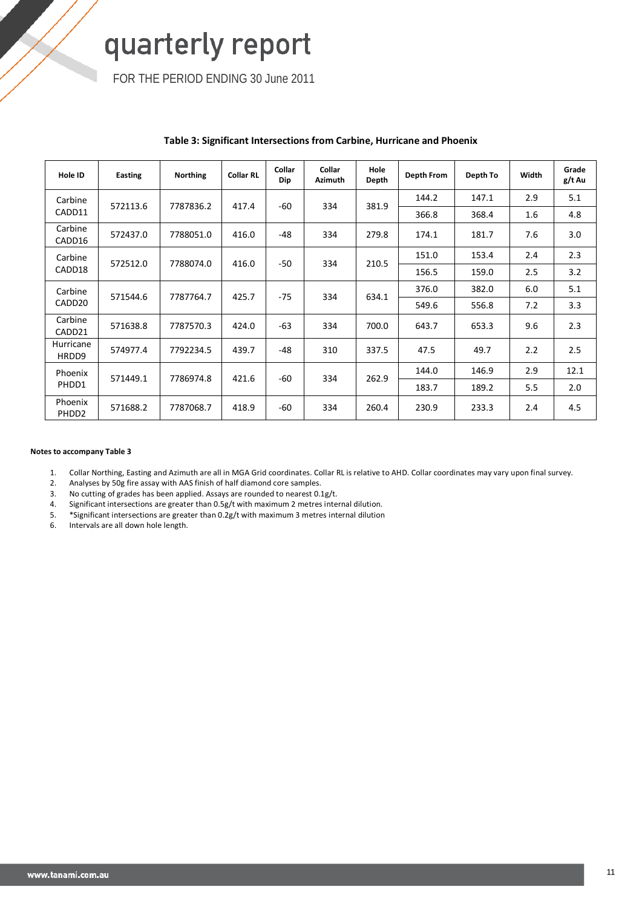FOR THE PERIOD ENDING 30 June 2011

| Hole ID                      | Easting  | <b>Northing</b> | <b>Collar RL</b> | Collar<br>Dip | Collar<br><b>Azimuth</b> | Hole<br>Depth | Depth From | Depth To | Width | Grade<br>g/t Au |
|------------------------------|----------|-----------------|------------------|---------------|--------------------------|---------------|------------|----------|-------|-----------------|
| Carbine                      | 572113.6 | 7787836.2       | 417.4            | -60           | 334                      | 381.9         | 144.2      | 147.1    | 2.9   | 5.1             |
| CADD11                       |          |                 |                  |               |                          |               | 366.8      | 368.4    | 1.6   | 4.8             |
| Carbine<br>CADD16            | 572437.0 | 7788051.0       | 416.0            | $-48$         | 334                      | 279.8         | 174.1      | 181.7    | 7.6   | 3.0             |
| Carbine                      | 572512.0 | 7788074.0       | 416.0            | $-50$         | 334                      | 210.5         | 151.0      | 153.4    | 2.4   | 2.3             |
| CADD18                       |          |                 |                  |               |                          |               | 156.5      | 159.0    | 2.5   | 3.2             |
| Carbine                      | 571544.6 | 7787764.7       | 425.7            | $-75$         | 334                      | 634.1         | 376.0      | 382.0    | 6.0   | 5.1             |
| CADD <sub>20</sub>           |          |                 |                  |               |                          |               | 549.6      | 556.8    | 7.2   | 3.3             |
| Carbine<br>CADD21            | 571638.8 | 7787570.3       | 424.0            | $-63$         | 334                      | 700.0         | 643.7      | 653.3    | 9.6   | 2.3             |
| Hurricane<br>HRDD9           | 574977.4 | 7792234.5       | 439.7            | $-48$         | 310                      | 337.5         | 47.5       | 49.7     | 2.2   | 2.5             |
| Phoenix                      | 571449.1 | 7786974.8       | 421.6            | -60           | 334                      | 262.9         | 144.0      | 146.9    | 2.9   | 12.1            |
| PHDD1                        |          |                 |                  |               |                          |               | 183.7      | 189.2    | 5.5   | 2.0             |
| Phoenix<br>PHDD <sub>2</sub> | 571688.2 | 7787068.7       | 418.9            | $-60$         | 334                      | 260.4         | 230.9      | 233.3    | 2.4   | 4.5             |

## **Table 3: Significant Intersections from Carbine, Hurricane and Phoenix**

### **Notes to accompany Table 3**

1. Collar Northing, Easting and Azimuth are all in MGA Grid coordinates. Collar RL is relative to AHD. Collar coordinates may vary upon final survey.

2. Analyses by 50g fire assay with AAS finish of half diamond core samples.

3. No cutting of grades has been applied. Assays are rounded to nearest 0.1g/t.<br>4. Significant intersections are greater than 0.5g/t with maximum 2 metres inter

4. Significant intersections are greater than 0.5g/t with maximum 2 metres internal dilution.<br>5. \*Significant intersections are greater than 0.2g/t with maximum 3 metres internal dilution 5. \*Significant intersections are greater than 0.2g/t with maximum 3 metres internal dilution

6. Intervals are all down hole length.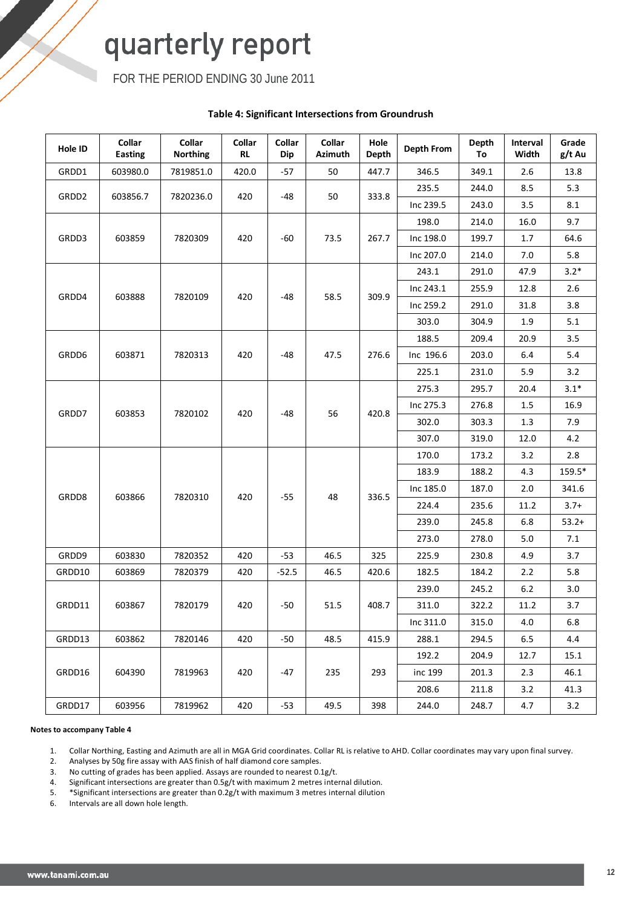FOR THE PERIOD ENDING 30 June 2011

## **Table 4: Significant Intersections from Groundrush**

| Hole ID | Collar<br><b>Easting</b> | Collar<br><b>Northing</b> | Collar<br><b>RL</b> | Collar<br>Dip | Collar<br><b>Azimuth</b> | Hole<br><b>Depth</b> | Depth From | <b>Depth</b><br>To | Interval<br>Width | Grade<br>g/t Au |
|---------|--------------------------|---------------------------|---------------------|---------------|--------------------------|----------------------|------------|--------------------|-------------------|-----------------|
| GRDD1   | 603980.0                 | 7819851.0                 | 420.0               | $-57$         | 50                       | 447.7                | 346.5      | 349.1              | 2.6               | 13.8            |
|         |                          |                           |                     |               |                          |                      | 235.5      | 244.0              | 8.5               | 5.3             |
| GRDD2   | 603856.7                 | 7820236.0                 | 420                 | -48           | 50                       | 333.8                | Inc 239.5  | 243.0              | 3.5               | 8.1             |
|         |                          |                           |                     |               |                          |                      | 198.0      | 214.0              | 16.0              | 9.7             |
| GRDD3   | 603859                   | 7820309                   | 420                 | -60           | 73.5                     | 267.7                | Inc 198.0  | 199.7              | 1.7               | 64.6            |
|         |                          |                           |                     |               |                          |                      | Inc 207.0  | 214.0              | 7.0               | 5.8             |
|         |                          |                           |                     |               |                          |                      | 243.1      | 291.0              | 47.9              | $3.2*$          |
|         |                          |                           |                     |               | 58.5                     |                      | Inc 243.1  | 255.9              | 12.8              | 2.6             |
| GRDD4   | 603888                   | 7820109                   | 420                 | -48           |                          | 309.9                | Inc 259.2  | 291.0              | 31.8              | 3.8             |
|         |                          |                           |                     |               |                          |                      | 303.0      | 304.9              | $1.9\,$           | 5.1             |
|         |                          |                           |                     |               |                          |                      | 188.5      | 209.4              | 20.9              | 3.5             |
| GRDD6   | 603871                   | 7820313                   | 420                 | -48           | 47.5                     | 276.6                | Inc 196.6  | 203.0              | 6.4               | 5.4             |
|         |                          |                           |                     |               |                          |                      | 225.1      | 231.0              | 5.9               | 3.2             |
|         |                          |                           |                     |               |                          |                      | 275.3      | 295.7              | 20.4              | $3.1*$          |
|         |                          |                           |                     |               |                          |                      | Inc 275.3  | 276.8              | $1.5\,$           | 16.9            |
| GRDD7   | 603853                   | 7820102                   | 420                 | -48           | 56                       | 420.8                | 302.0      | 303.3              | $1.3\,$           | 7.9             |
|         |                          |                           |                     |               |                          |                      | 307.0      | 319.0              | 12.0              | 4.2             |
|         |                          |                           |                     |               |                          |                      | 170.0      | 173.2              | 3.2               | 2.8             |
|         |                          |                           |                     |               |                          |                      | 183.9      | 188.2              | 4.3               | 159.5*          |
| GRDD8   | 603866                   | 7820310                   | 420                 | $-55$         | 48                       | 336.5                | Inc 185.0  | 187.0              | 2.0               | 341.6           |
|         |                          |                           |                     |               |                          |                      | 224.4      | 235.6              | 11.2              | $3.7+$          |
|         |                          |                           |                     |               |                          |                      | 239.0      | 245.8              | $6.8\,$           | $53.2+$         |
|         |                          |                           |                     |               |                          |                      | 273.0      | 278.0              | 5.0               | 7.1             |
| GRDD9   | 603830                   | 7820352                   | 420                 | $-53$         | 46.5                     | 325                  | 225.9      | 230.8              | 4.9               | 3.7             |
| GRDD10  | 603869                   | 7820379                   | 420                 | $-52.5$       | 46.5                     | 420.6                | 182.5      | 184.2              | 2.2               | 5.8             |
|         |                          |                           |                     |               |                          |                      | 239.0      | 245.2              | $6.2\,$           | 3.0             |
| GRDD11  | 603867                   | 7820179                   | 420                 | $-50$         | 51.5                     | 408.7                | 311.0      | 322.2              | 11.2              | 3.7             |
|         |                          |                           |                     |               |                          |                      | Inc 311.0  | 315.0              | $4.0\,$           | 6.8             |
| GRDD13  | 603862                   | 7820146                   | 420                 | $-50$         | 48.5                     | 415.9                | 288.1      | 294.5              | 6.5               | 4.4             |
|         |                          |                           |                     |               |                          |                      | 192.2      | 204.9              | 12.7              | 15.1            |
| GRDD16  | 604390                   | 7819963                   | 420                 | $-47$         | 235                      | 293                  | inc 199    | 201.3              | 2.3               | 46.1            |
|         |                          |                           |                     |               |                          |                      | 208.6      | 211.8              | 3.2               | 41.3            |
| GRDD17  | 603956                   | 7819962                   | 420                 | $-53$         | 49.5                     | 398                  | 244.0      | 248.7              | 4.7               | 3.2             |

### **Notes to accompany Table 4**

1. Collar Northing, Easting and Azimuth are all in MGA Grid coordinates. Collar RL is relative to AHD. Collar coordinates may vary upon final survey.

2. Analyses by 50g fire assay with AAS finish of half diamond core samples.<br>3. No cutting of grades has been applied. Assays are rounded to nearest 0. No cutting of grades has been applied. Assays are rounded to nearest 0.1g/t.

4. Significant intersections are greater than 0.5g/t with maximum 2 metres internal dilution.

5. \*Significant intersections are greater than 0.2g/t with maximum 3 metres internal dilution

6. Intervals are all down hole length.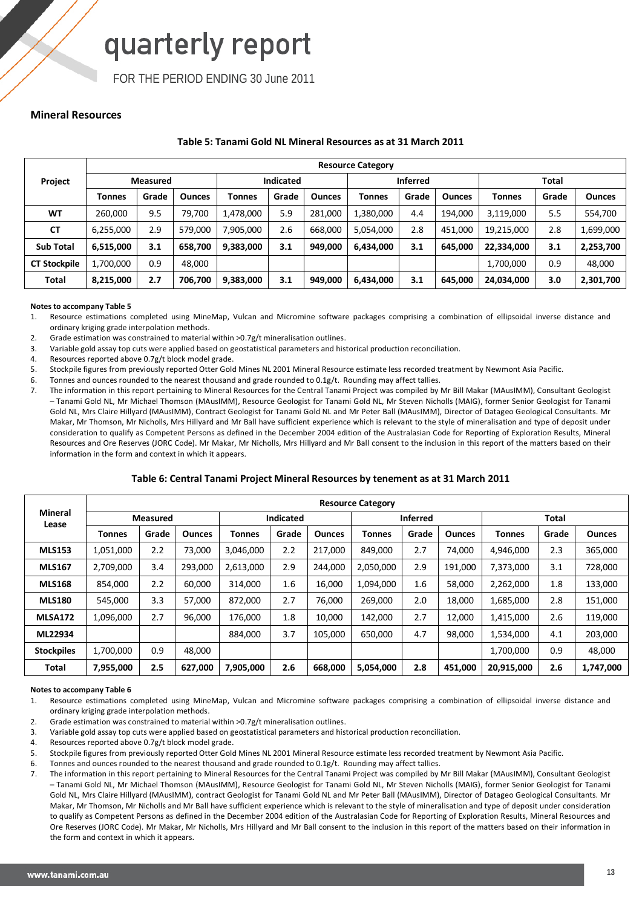FOR THE PERIOD ENDING 30 June 2011

## **Mineral Resources**

### **Table 5: Tanami Gold NL Mineral Resources as at 31 March 2011**

|                     |               | <b>Resource Category</b> |               |           |                  |               |           |                 |               |            |       |               |  |  |  |
|---------------------|---------------|--------------------------|---------------|-----------|------------------|---------------|-----------|-----------------|---------------|------------|-------|---------------|--|--|--|
| Project             |               | <b>Measured</b>          |               |           | <b>Indicated</b> |               |           | <b>Inferred</b> |               |            | Total |               |  |  |  |
|                     | <b>Tonnes</b> | Grade                    | <b>Ounces</b> | Tonnes    | Grade            | <b>Ounces</b> | Tonnes    | Grade           | <b>Ounces</b> | Tonnes     | Grade | <b>Ounces</b> |  |  |  |
| <b>WT</b>           | 260,000       | 9.5                      | 79,700        | 1,478,000 | 5.9              | 281,000       | 1,380,000 | 4.4             | 194,000       | 3,119,000  | 5.5   | 554,700       |  |  |  |
| <b>CT</b>           | 6,255,000     | 2.9                      | 579,000       | 7,905,000 | 2.6              | 668,000       | 5,054,000 | 2.8             | 451,000       | 19,215,000 | 2.8   | 1,699,000     |  |  |  |
| <b>Sub Total</b>    | 6,515,000     | 3.1                      | 658,700       | 9,383,000 | 3.1              | 949,000       | 6,434,000 | 3.1             | 645,000       | 22,334,000 | 3.1   | 2,253,700     |  |  |  |
| <b>CT Stockpile</b> | 1,700,000     | 0.9                      | 48,000        |           |                  |               |           |                 |               | 1,700,000  | 0.9   | 48,000        |  |  |  |
| <b>Total</b>        | 8,215,000     | 2.7                      | 706,700       | 9,383,000 | 3.1              | 949,000       | 6,434,000 | 3.1             | 645,000       | 24,034,000 | 3.0   | 2,301,700     |  |  |  |

### **Notes to accompany Table 5**

1. Resource estimations completed using MineMap, Vulcan and Micromine software packages comprising a combination of ellipsoidal inverse distance and ordinary kriging grade interpolation methods.

2. Grade estimation was constrained to material within >0.7g/t mineralisation outlines.

3. Variable gold assay top cuts were applied based on geostatistical parameters and historical production reconciliation.

- 4. Resources reported above 0.7g/t block model grade.
- 5. Stockpile figures from previously reported Otter Gold Mines NL 2001 Mineral Resource estimate less recorded treatment by Newmont Asia Pacific.
- 6. Tonnes and ounces rounded to the nearest thousand and grade rounded to 0.1g/t. Rounding may affect tallies.
- 7. The information in this report pertaining to Mineral Resources for the Central Tanami Project was compiled by Mr Bill Makar (MAusIMM), Consultant Geologist – Tanami Gold NL, Mr Michael Thomson (MAusIMM), Resource Geologist for Tanami Gold NL, Mr Steven Nicholls (MAIG), former Senior Geologist for Tanami Gold NL, Mrs Claire Hillyard (MAusIMM), Contract Geologist for Tanami Gold NL and Mr Peter Ball (MAusIMM), Director of Datageo Geological Consultants. Mr Makar, Mr Thomson, Mr Nicholls, Mrs Hillyard and Mr Ball have sufficient experience which is relevant to the style of mineralisation and type of deposit under consideration to qualify as Competent Persons as defined in the December 2004 edition of the Australasian Code for Reporting of Exploration Results, Mineral Resources and Ore Reserves (JORC Code). Mr Makar, Mr Nicholls, Mrs Hillyard and Mr Ball consent to the inclusion in this report of the matters based on their information in the form and context in which it appears.

### **Table 6: Central Tanami Project Mineral Resources by tenement as at 31 March 2011**

|                         |           |                 |               |           |           |               | <b>Resource Category</b> |                 |               |              |       |               |
|-------------------------|-----------|-----------------|---------------|-----------|-----------|---------------|--------------------------|-----------------|---------------|--------------|-------|---------------|
| <b>Mineral</b><br>Lease |           | <b>Measured</b> |               |           | Indicated |               |                          | <b>Inferred</b> |               | <b>Total</b> |       |               |
|                         | Tonnes    | Grade           | <b>Ounces</b> | Tonnes    | Grade     | <b>Ounces</b> | Tonnes                   | Grade           | <b>Ounces</b> | Tonnes       | Grade | <b>Ounces</b> |
| <b>MLS153</b>           | 1,051,000 | 2.2             | 73,000        | 3,046,000 | 2.2       | 217,000       | 849,000                  | 2.7             | 74,000        | 4,946,000    | 2.3   | 365,000       |
| <b>MLS167</b>           | 2,709,000 | 3.4             | 293,000       | 2,613,000 | 2.9       | 244,000       | 2,050,000                | 2.9             | 191,000       | 7,373,000    | 3.1   | 728,000       |
| <b>MLS168</b>           | 854,000   | 2.2             | 60.000        | 314,000   | 1.6       | 16.000        | 1,094,000                | 1.6             | 58,000        | 2,262,000    | 1.8   | 133,000       |
| <b>MLS180</b>           | 545,000   | 3.3             | 57,000        | 872,000   | 2.7       | 76,000        | 269,000                  | 2.0             | 18,000        | 1,685,000    | 2.8   | 151,000       |
| <b>MLSA172</b>          | 1,096,000 | 2.7             | 96.000        | 176.000   | 1.8       | 10.000        | 142,000                  | 2.7             | 12,000        | 1,415,000    | 2.6   | 119,000       |
| ML22934                 |           |                 |               | 884,000   | 3.7       | 105,000       | 650,000                  | 4.7             | 98,000        | 1,534,000    | 4.1   | 203,000       |
| <b>Stockpiles</b>       | 1.700.000 | 0.9             | 48.000        |           |           |               |                          |                 |               | 1,700,000    | 0.9   | 48,000        |
| Total                   | 7,955,000 | 2.5             | 627,000       | 7,905,000 | 2.6       | 668,000       | 5,054,000                | 2.8             | 451,000       | 20,915,000   | 2.6   | 1,747,000     |

### **Notes to accompany Table 6**

1. Resource estimations completed using MineMap, Vulcan and Micromine software packages comprising a combination of ellipsoidal inverse distance and ordinary kriging grade interpolation methods.

2. Grade estimation was constrained to material within >0.7g/t mineralisation outlines.

- 3. Variable gold assay top cuts were applied based on geostatistical parameters and historical production reconciliation.
- 4. Resources reported above 0.7g/t block model grade.
- 5. Stockpile figures from previously reported Otter Gold Mines NL 2001 Mineral Resource estimate less recorded treatment by Newmont Asia Pacific.
- 6. Tonnes and ounces rounded to the nearest thousand and grade rounded to 0.1g/t. Rounding may affect tallies.
- 7. The information in this report pertaining to Mineral Resources for the Central Tanami Project was compiled by Mr Bill Makar (MAusIMM), Consultant Geologist – Tanami Gold NL, Mr Michael Thomson (MAusIMM), Resource Geologist for Tanami Gold NL, Mr Steven Nicholls (MAIG), former Senior Geologist for Tanami Gold NL, Mrs Claire Hillyard (MAusIMM), contract Geologist for Tanami Gold NL and Mr Peter Ball (MAusIMM), Director of Datageo Geological Consultants. Mr Makar, Mr Thomson, Mr Nicholls and Mr Ball have sufficient experience which is relevant to the style of mineralisation and type of deposit under consideration to qualify as Competent Persons as defined in the December 2004 edition of the Australasian Code for Reporting of Exploration Results, Mineral Resources and Ore Reserves (JORC Code). Mr Makar, Mr Nicholls, Mrs Hillyard and Mr Ball consent to the inclusion in this report of the matters based on their information in the form and context in which it appears.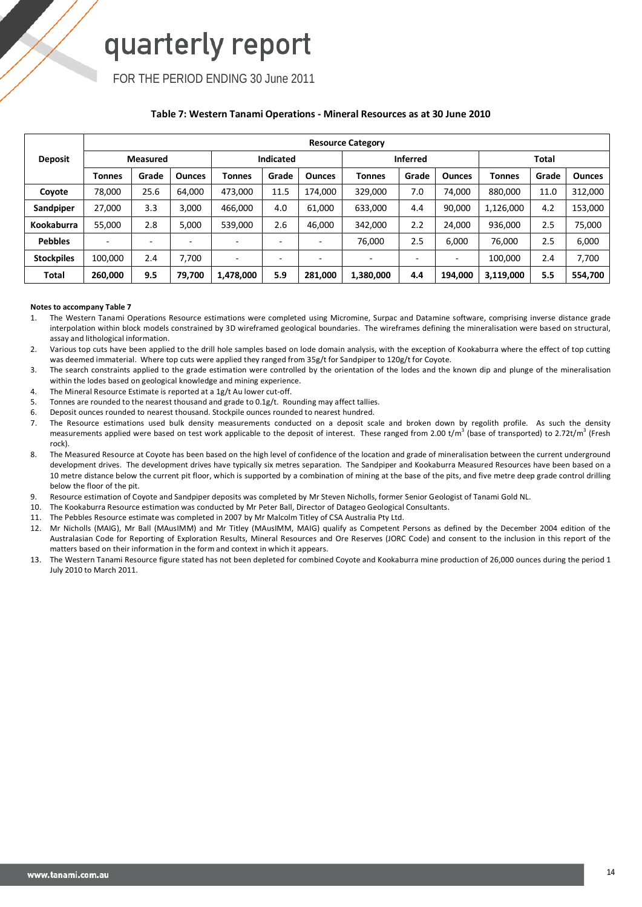FOR THE PERIOD ENDING 30 June 2011

## **Table 7: Western Tanami Operations - Mineral Resources as at 30 June 2010**

|                   |         | <b>Resource Category</b> |               |           |                  |               |                          |                 |                          |           |              |               |  |  |  |
|-------------------|---------|--------------------------|---------------|-----------|------------------|---------------|--------------------------|-----------------|--------------------------|-----------|--------------|---------------|--|--|--|
| <b>Deposit</b>    |         | <b>Measured</b>          |               |           | <b>Indicated</b> |               |                          | <b>Inferred</b> |                          |           | <b>Total</b> |               |  |  |  |
|                   | Tonnes  | Grade                    | <b>Ounces</b> | Tonnes    | Grade            | <b>Ounces</b> | Tonnes                   | Grade           | <b>Ounces</b>            | Tonnes    | Grade        | <b>Ounces</b> |  |  |  |
| Coyote            | 78,000  | 25.6                     | 64,000        | 473,000   | 11.5             | 174.000       | 329,000                  | 7.0             | 74,000                   | 880,000   | 11.0         | 312,000       |  |  |  |
| Sandpiper         | 27,000  | 3.3                      | 3,000         | 466,000   | 4.0              | 61,000        | 633,000                  | 4.4             | 90,000                   | 1,126,000 | 4.2          | 153,000       |  |  |  |
| <b>Kookaburra</b> | 55,000  | 2.8                      | 5,000         | 539,000   | 2.6              | 46,000        | 342,000                  | 2.2             | 24,000                   | 936,000   | 2.5          | 75,000        |  |  |  |
| <b>Pebbles</b>    |         |                          |               |           | -                |               | 76,000                   | 2.5             | 6.000                    | 76,000    | 2.5          | 6,000         |  |  |  |
| <b>Stockpiles</b> | 100,000 | 2.4                      | 7.700         |           | -                |               | $\overline{\phantom{0}}$ |                 | $\overline{\phantom{0}}$ | 100,000   | 2.4          | 7,700         |  |  |  |
| <b>Total</b>      | 260,000 | 9.5                      | 79,700        | 1,478,000 | 5.9              | 281.000       | 1,380,000                | 4.4             | 194,000                  | 3,119,000 | 5.5          | 554,700       |  |  |  |

### **Notes to accompany Table 7**

- 1. The Western Tanami Operations Resource estimations were completed using Micromine, Surpac and Datamine software, comprising inverse distance grade interpolation within block models constrained by 3D wireframed geological boundaries. The wireframes defining the mineralisation were based on structural, assay and lithological information.
- 2. Various top cuts have been applied to the drill hole samples based on lode domain analysis, with the exception of Kookaburra where the effect of top cutting was deemed immaterial. Where top cuts were applied they ranged from 35g/t for Sandpiper to 120g/t for Coyote.
- 3. The search constraints applied to the grade estimation were controlled by the orientation of the lodes and the known dip and plunge of the mineralisation within the lodes based on geological knowledge and mining experience.
- 4. The Mineral Resource Estimate is reported at a 1g/t Au lower cut-off.
- 5. Tonnes are rounded to the nearest thousand and grade to 0.1g/t. Rounding may affect tallies.
- 6. Deposit ounces rounded to nearest thousand. Stockpile ounces rounded to nearest hundred.
- 7. The Resource estimations used bulk density measurements conducted on a deposit scale and broken down by regolith profile. As such the density measurements applied were based on test work applicable to the deposit of interest. These ranged from 2.00 t/m<sup>3</sup> (base of transported) to 2.72t/m<sup>3</sup> (Fresh rock).
- 8. The Measured Resource at Coyote has been based on the high level of confidence of the location and grade of mineralisation between the current underground development drives. The development drives have typically six metres separation. The Sandpiper and Kookaburra Measured Resources have been based on a 10 metre distance below the current pit floor, which is supported by a combination of mining at the base of the pits, and five metre deep grade control drilling below the floor of the pit.
- 9. Resource estimation of Coyote and Sandpiper deposits was completed by Mr Steven Nicholls, former Senior Geologist of Tanami Gold NL.
- 10. The Kookaburra Resource estimation was conducted by Mr Peter Ball, Director of Datageo Geological Consultants.
- 11. The Pebbles Resource estimate was completed in 2007 by Mr Malcolm Titley of CSA Australia Pty Ltd.
- 12. Mr Nicholls (MAIG), Mr Ball (MAusIMM) and Mr Titley (MAusIMM, MAIG) qualify as Competent Persons as defined by the December 2004 edition of the Australasian Code for Reporting of Exploration Results, Mineral Resources and Ore Reserves (JORC Code) and consent to the inclusion in this report of the matters based on their information in the form and context in which it appears.
- 13. The Western Tanami Resource figure stated has not been depleted for combined Coyote and Kookaburra mine production of 26,000 ounces during the period 1 July 2010 to March 2011.